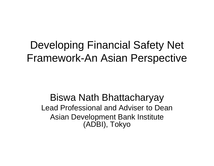### Developing Financial Safety Net Framework-An Asian Perspective

Biswa Nath Bhattacharyay Lead Professional and Adviser to DeanAsian Development Bank Institute (ADBI), Tokyo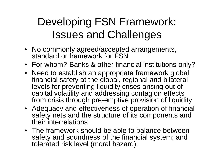# Developing FSN Framework: Issues and Challenges

- No commonly agreed/accepted arrangements, standard or framework for FSN
- For whom?-Banks & other financial institutions only?
- Need to establish an appropriate framework global financial safety at the global, regional and bilateral levels for preventing liquidity crises arising out of capital volatility and addressing contagion effects from crisis through pre-emptive provision of liquidity
- Adequacy and effectiveness of operation of financial safety nets and the structure of its components and their interrelations
- The framework should be able to balance between safety and soundness of the financial system; and tolerated risk level (moral hazard).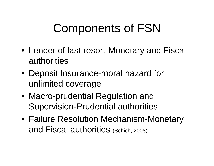# Components of FSN

- Lender of last resort-Monetary and Fiscal authorities
- Deposit Insurance-moral hazard for unlimited coverage
- $\bullet\,$  Macro-prudential Regulation and Supervision-Prudential authorities
- Failure Resolution Mechanism-Monetary and Fiscal authorities (Schich, 2008)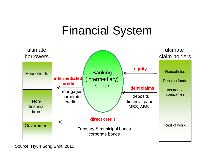### Financial System



Source: Hyun Song Shin, 2010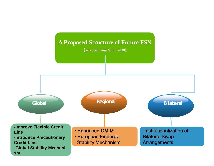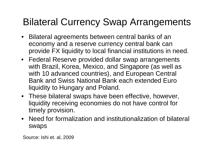### Bilateral Currency Swap Arrangements

- Bilateral agreements between central banks of an economy and a reserve currency central bank can provide FX liquidity to local financial institutions in need.
- Federal Reserve provided dollar swap arrangements with Brazil, Korea, Mexico, and Singapore (as well as with 10 advanced countries), and European Central Bank and Swiss National Bank each extended Euro liquidity to Hungary and Poland.
- These bilateral swaps have been effective, however, liquidity receiving economies do not have control for timely provision.
- Need for formalization and institutionalization of bilateral swaps

Source: Ishi et. al, 2009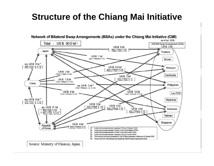### **Structure of the Chiang Mai Initiative**

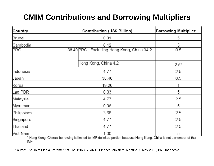#### **CMIM Contributions and Borrowing Multipliers**

| Country     | <b>Contribution (US\$ Billion)</b>                                                                                        | <b>Borrowing Multiplier</b><br>5 |  |
|-------------|---------------------------------------------------------------------------------------------------------------------------|----------------------------------|--|
| Brunei      | 0.01                                                                                                                      |                                  |  |
| Cambodia    | 0.12                                                                                                                      | 5                                |  |
| PRC         | 38.40 PRC, Excluding Hong Kong, China 34.2                                                                                | 0.5                              |  |
|             | Hong Kong, China 4.2                                                                                                      | $2.5*$                           |  |
| Indonesia   | 4.77                                                                                                                      | 2.5                              |  |
| Japan       | 38.40                                                                                                                     | 0.5                              |  |
| Korea       | 19.20                                                                                                                     |                                  |  |
| Lao PDR     | 0.03                                                                                                                      | 5                                |  |
| Malaysia    | 4.77                                                                                                                      | 2.5                              |  |
| Myanmar     | 0.06                                                                                                                      | 5                                |  |
| Philippines | 3.68                                                                                                                      | 2.5                              |  |
| Singapore   | 4.77                                                                                                                      | 2.5                              |  |
| Thailand    | 4.77                                                                                                                      | 2.5                              |  |
| Viet Nam    | 1.00<br>* Hong Kong, China's borrowing is limited to IMF delinked portion because Hong Kong, China is not a member of the | 5                                |  |

Hong Kore<br>IMF

Source: The Joint Media Statement of The 12th ASEAN+3 Finance Ministers' Meeting, 3 May 2009, Bali, Indonesia.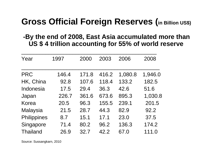#### **Gross Official Foreign Reserves (in Billion US\$)**

#### **-By the end of 2008, East Asia accumulated more than US \$ 4 trillion accounting for 55% of world reserve**

| Year            | 1997  | 2000  | 2003  | 2006    | 2008    |
|-----------------|-------|-------|-------|---------|---------|
| <b>PRC</b>      | 146.4 | 171.8 | 416.2 | 1,080.8 | 1,946.0 |
| HK, China       | 92.8  | 107.6 | 118.4 | 133.2   | 182.5   |
| Indonesia       | 17.5  | 29.4  | 36.3  | 42.6    | 51.6    |
| Japan           | 226.7 | 361.6 | 673.6 | 895.3   | 1,030.8 |
| <b>Korea</b>    | 20.5  | 96.3  | 155.5 | 239.1   | 201.5   |
| <b>Malaysia</b> | 21.5  | 28.7  | 44.3  | 82.9    | 92.2    |
| Philippines     | 8.7   | 15.1  | 17.1  | 23.0    | 37.5    |
| Singapore       | 71.4  | 80.2  | 96.2  | 136.3   | 174.2   |
| <b>Thailand</b> | 26.9  | 32.7  | 42.2  | 67.0    | 111.0   |

Source: Sussangkarn, 2010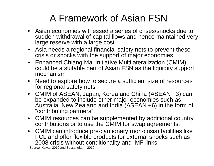### A Framework of Asian FSN

- Asian economies witnessed a series of crises/shocks due to sudden withdrawal of capital flows and hence maintained very large reserve with a large cost
- $\bullet$  Asia needs a regional financial safety nets to prevent these crisis or shocks with the support of major economies
- Enhanced Chiang Mai Initiative Multilateralization (CMIM) could be a suitable part of Asian FSN as the liquidity support mechanism
- • Need to explore how to secure a sufficient size of resources for regional safety nets
- CMIM of ASEAN, Japan, Korea and China (ASEAN +3) can be expanded to include other major economies such as Australia, New Zealand and India (ASEAN +6) in the form of "contributin g partners".
- CMIM resources can be supplemented by additional country contributions or to use the CMIM for swap agreements.
- CMIM can introduce pre-cautionary (non-crisis) facilities like FCL and offer flexible products for external shocks such as 2008 crisis without conditionality and IMF links

Source: Kawai, 2010 and Sussangkarn, 2010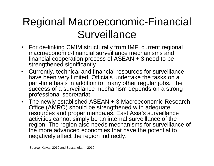# Regional Macroeconomic-Financial Surveillance

- For de-linking CMIM structurally from IMF, current regional macroeconomic-financial surveillance mechanisms and financial cooperation process of ASEAN + 3 need to be strengthened significantly.
- $\bullet$  Currently, technical and financial resources for surveillance have been very limited. Officials undertake the tasks on a part-time basis in addition to many other regular jobs. The success of a surveillance mechanism depends on a strong professional secretariat.
- The newly established ASEAN + 3 Macroeconomic Research Office (AMRO) should be strengthened with adequate resources and proper mandates. East Asia's surveillance activities cannot simply be an internal surveillance of the region. The region also needs mechanisms for surveillance of the more advanced economies that have the potential to negatively affect the region indirectly.